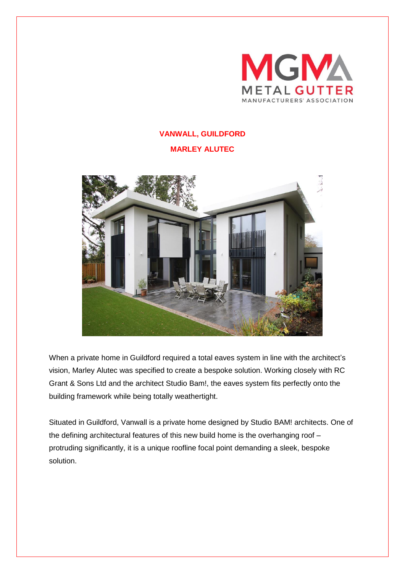

## **VANWALL, GUILDFORD**

## **MARLEY ALUTEC**



When a private home in Guildford required a total eaves system in line with the architect's vision, Marley Alutec was specified to create a bespoke solution. Working closely with RC Grant & Sons Ltd and the architect Studio Bam!, the eaves system fits perfectly onto the building framework while being totally weathertight.

Situated in Guildford, Vanwall is a private home designed by Studio BAM! architects. One of the defining architectural features of this new build home is the overhanging roof – protruding significantly, it is a unique roofline focal point demanding a sleek, bespoke solution.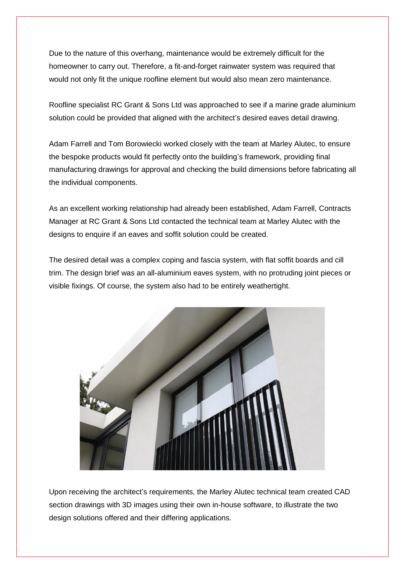Due to the nature of this overhang, maintenance would be extremely difficult for the homeowner to carry out. Therefore, a fit-and-forget rainwater system was required that would not only fit the unique roofline element but would also mean zero maintenance.

Roofline specialist RC Grant & Sons Ltd was approached to see if a marine grade aluminium solution could be provided that aligned with the architect's desired eaves detail drawing.

Adam Farrell and Tom Borowiecki worked closely with the team at Marley Alutec, to ensure the bespoke products would fit perfectly onto the building's framework, providing final manufacturing drawings for approval and checking the build dimensions before fabricating all the individual components.

As an excellent working relationship had already been established, Adam Farrell, Contracts Manager at RC Grant & Sons Ltd contacted the technical team at Marley Alutec with the designs to enquire if an eaves and soffit solution could be created.

The desired detail was a complex coping and fascia system, with flat soffit boards and cill trim. The design brief was an all-aluminium eaves system, with no protruding joint pieces or visible fixings. Of course, the system also had to be entirely weathertight.



Upon receiving the architect's requirements, the Marley Alutec technical team created CAD section drawings with 3D images using their own in-house software, to illustrate the two design solutions offered and their differing applications.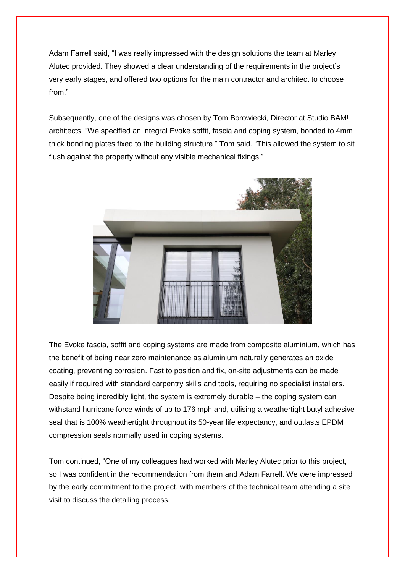Adam Farrell said, "I was really impressed with the design solutions the team at Marley Alutec provided. They showed a clear understanding of the requirements in the project's very early stages, and offered two options for the main contractor and architect to choose from."

Subsequently, one of the designs was chosen by Tom Borowiecki, Director at Studio BAM! architects. "We specified an integral Evoke soffit, fascia and coping system, bonded to 4mm thick bonding plates fixed to the building structure." Tom said. "This allowed the system to sit flush against the property without any visible mechanical fixings."



The Evoke fascia, soffit and coping systems are made from composite aluminium, which has the benefit of being near zero maintenance as aluminium naturally generates an oxide coating, preventing corrosion. Fast to position and fix, on-site adjustments can be made easily if required with standard carpentry skills and tools, requiring no specialist installers. Despite being incredibly light, the system is extremely durable – the coping system can withstand hurricane force winds of up to 176 mph and, utilising a weathertight butyl adhesive seal that is 100% weathertight throughout its 50-year life expectancy, and outlasts EPDM compression seals normally used in coping systems.

Tom continued, "One of my colleagues had worked with Marley Alutec prior to this project, so I was confident in the recommendation from them and Adam Farrell. We were impressed by the early commitment to the project, with members of the technical team attending a site visit to discuss the detailing process.